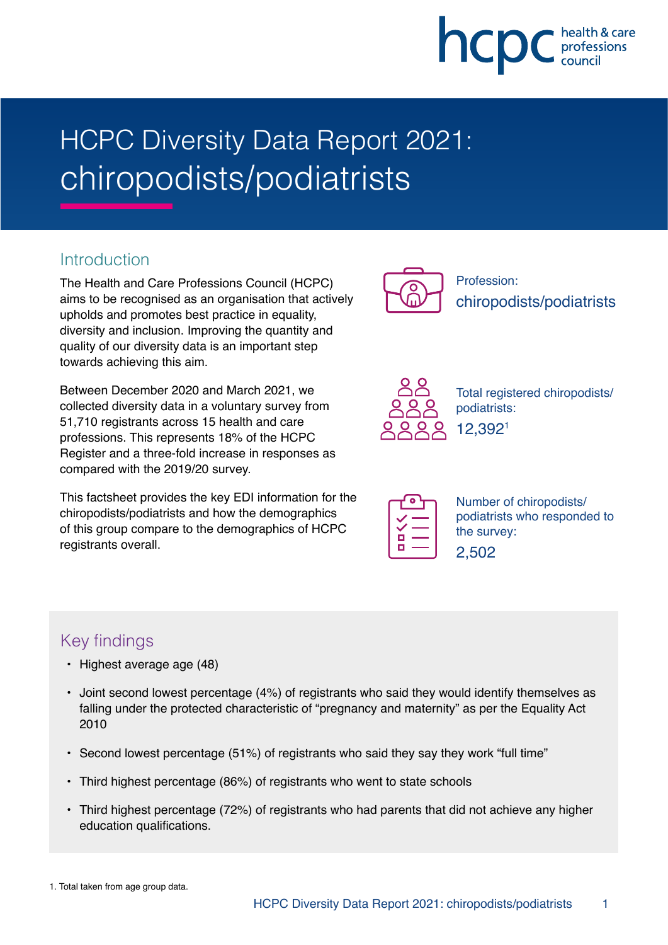# hcpc

# HCPC Diversity Data Report 2021: chiropodists/podiatrists

# **Introduction**

The Health and Care Professions Council (HCPC) aims to be recognised as an organisation that actively upholds and promotes best practice in equality, diversity and inclusion. Improving the quantity and quality of our diversity data is an important step towards achieving this aim.

Between December 2020 and March 2021, we collected diversity data in a voluntary survey from 51,710 registrants across 15 health and care professions. This represents 18% of the HCPC Register and a three-fold increase in responses as compared with the 2019/20 survey.

This factsheet provides the key EDI information for the chiropodists/podiatrists and how the demographics of this group compare to the demographics of HCPC registrants overall.



Profession: chiropodists/podiatrists



Total registered chiropodists/ podiatrists: 12,3921

|   | × |
|---|---|
|   |   |
| г |   |
| Ξ |   |

Number of chiropodists/ podiatrists who responded to the survey:

|--|--|

# Key findings

- Highest average age (48)
- Joint second lowest percentage (4%) of registrants who said they would identify themselves as falling under the protected characteristic of "pregnancy and maternity" as per the Equality Act 2010
- Second lowest percentage (51%) of registrants who said they say they work "full time"
- Third highest percentage (86%) of registrants who went to state schools
- Third highest percentage (72%) of registrants who had parents that did not achieve any higher education qualifications.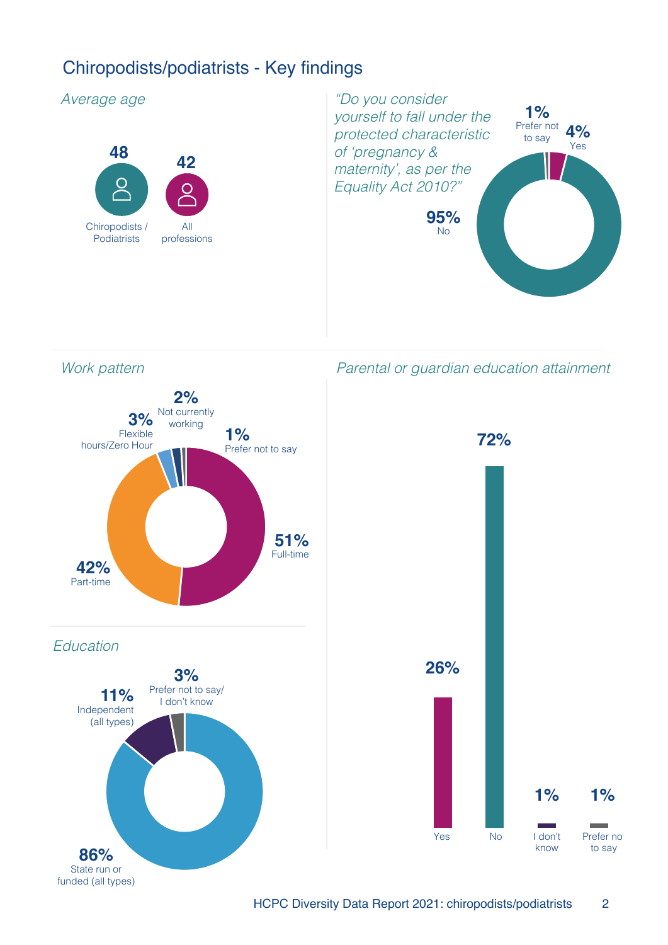# Chiropodists/podiatrists - Key findings

#### Average age





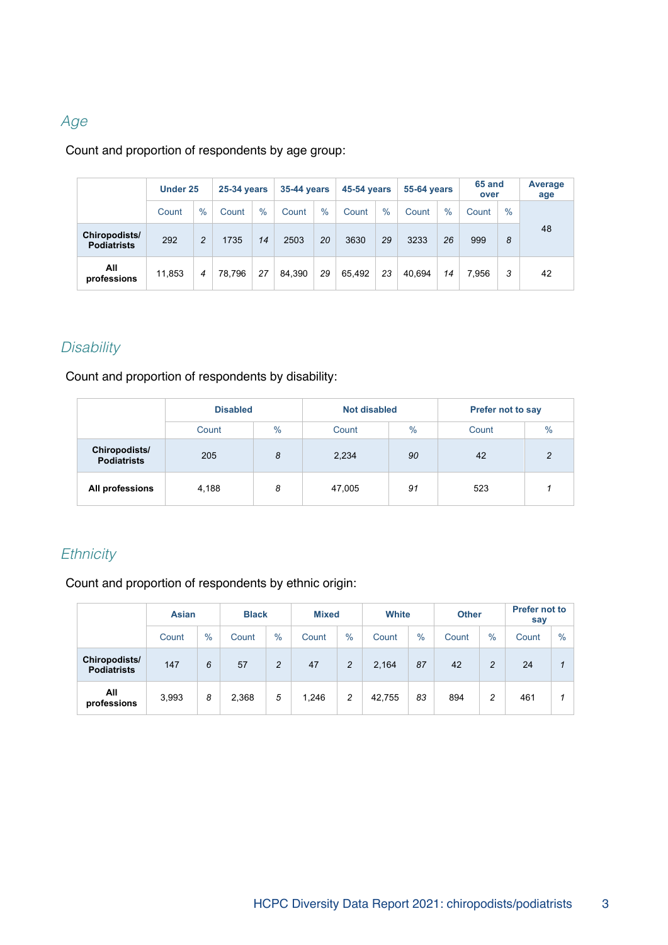# Age

Count and proportion of respondents by age group:

|                                     | Under 25 |                | <b>25-34 years</b> |      | <b>35-44 years</b> |      | <b>45-54 years</b> |               | <b>55-64 years</b> |               | 65 and<br>over |               | Average<br>age |
|-------------------------------------|----------|----------------|--------------------|------|--------------------|------|--------------------|---------------|--------------------|---------------|----------------|---------------|----------------|
|                                     | Count    | $\%$           | Count              | $\%$ | Count              | $\%$ | Count              | $\frac{0}{0}$ | Count              | $\frac{0}{0}$ | Count          | $\frac{0}{0}$ |                |
| Chiropodists/<br><b>Podiatrists</b> | 292      | $\overline{c}$ | 1735               | 14   | 2503               | 20   | 3630               | 29            | 3233               | 26            | 999            | 8             | 48             |
| All<br>professions                  | 11.853   | $\overline{4}$ | 78.796             | 27   | 84.390             | 29   | 65.492             | 23            | 40.694             | 14            | 7.956          | 3             | 42             |

# **Disability**

Count and proportion of respondents by disability:

|                                     | <b>Disabled</b> |      | <b>Not disabled</b> |               | <b>Prefer not to say</b> |                |  |
|-------------------------------------|-----------------|------|---------------------|---------------|--------------------------|----------------|--|
|                                     | Count           | $\%$ | Count               | $\frac{9}{6}$ | $\%$<br>Count            |                |  |
| Chiropodists/<br><b>Podiatrists</b> | 205             | 8    | 2,234               | 90            | 42                       | $\overline{c}$ |  |
| All professions                     | 4,188           | 8    | 47,005              | 91            | 523                      |                |  |

# **Ethnicity**

Count and proportion of respondents by ethnic origin:

|                                     | <b>Asian</b> |      |       |                | <b>Black</b> |                |        | <b>Mixed</b> |       | White          |       | <b>Other</b> | <b>Prefer not to</b><br>say |  |
|-------------------------------------|--------------|------|-------|----------------|--------------|----------------|--------|--------------|-------|----------------|-------|--------------|-----------------------------|--|
|                                     | Count        | $\%$ | Count | $\%$           | Count        | $\%$           | Count  | $\%$         | Count | $\%$           | Count | $\%$         |                             |  |
| Chiropodists/<br><b>Podiatrists</b> | 147          | 6    | 57    | $\overline{c}$ | 47           | $\overline{c}$ | 2.164  | 87           | 42    | $\overline{c}$ | 24    |              |                             |  |
| All<br>professions                  | 3,993        | 8    | 2,368 | 5              | 1,246        | 2              | 42,755 | 83           | 894   | 2              | 461   |              |                             |  |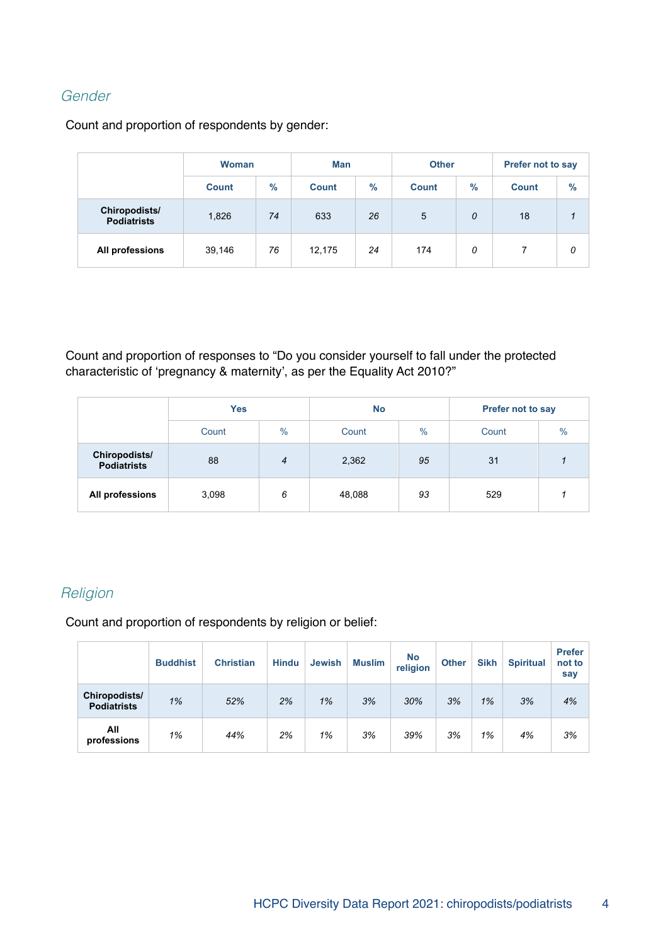# Gender

Count and proportion of respondents by gender:

|                                     | <b>Woman</b> |               | Man          |      |              | <b>Other</b> | <b>Prefer not to say</b> |               |  |
|-------------------------------------|--------------|---------------|--------------|------|--------------|--------------|--------------------------|---------------|--|
|                                     | <b>Count</b> | $\frac{9}{6}$ | <b>Count</b> | $\%$ | <b>Count</b> | $\%$         | <b>Count</b>             | $\frac{9}{6}$ |  |
| Chiropodists/<br><b>Podiatrists</b> | 1,826        | 74            | 633          | 26   | 5            | 0            | 18                       |               |  |
| All professions                     | 39,146       | 76            | 12,175       | 24   | 174          | 0            |                          | 0             |  |

Count and proportion of responses to "Do you consider yourself to fall under the protected characteristic of 'pregnancy & maternity', as per the Equality Act 2010?"

|                                     | <b>Yes</b> |                | <b>No</b> |      | Prefer not to say |      |  |
|-------------------------------------|------------|----------------|-----------|------|-------------------|------|--|
|                                     | Count      | $\%$           | Count     | $\%$ | Count             | $\%$ |  |
| Chiropodists/<br><b>Podiatrists</b> | 88         | $\overline{4}$ | 2,362     | 95   | 31                |      |  |
| All professions                     | 3,098      | 6              | 48,088    | 93   | 529               |      |  |

### **Religion**

Count and proportion of respondents by religion or belief:

|                                     | <b>Buddhist</b> | <b>Christian</b> | <b>Hindu</b> | <b>Jewish</b> | <b>Muslim</b> | <b>No</b><br>religion | <b>Other</b> | <b>Sikh</b> | <b>Spiritual</b> | <b>Prefer</b><br>not to<br>say |
|-------------------------------------|-----------------|------------------|--------------|---------------|---------------|-----------------------|--------------|-------------|------------------|--------------------------------|
| Chiropodists/<br><b>Podiatrists</b> | 1%              | 52%              | 2%           | 1%            | 3%            | 30%                   | 3%           | 1%          | 3%               | 4%                             |
| All<br>professions                  | 1%              | 44%              | 2%           | 1%            | 3%            | 39%                   | 3%           | 1%          | 4%               | 3%                             |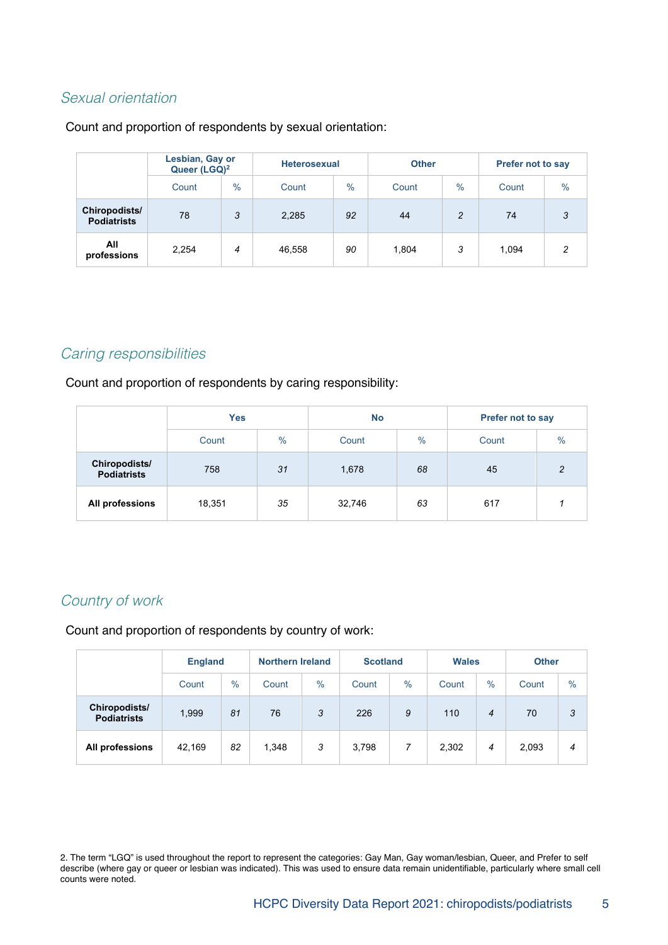#### Sexual orientation

#### Count and proportion of respondents by sexual orientation:

|                                     | Lesbian, Gay or<br>Queer (LGQ) <sup>2</sup> |               |        | <b>Heterosexual</b> |       |                | <b>Prefer not to say</b> |               |  |
|-------------------------------------|---------------------------------------------|---------------|--------|---------------------|-------|----------------|--------------------------|---------------|--|
|                                     | Count                                       | $\frac{0}{0}$ | Count  | $\frac{0}{0}$       | Count | $\%$           | Count                    | $\frac{0}{0}$ |  |
| Chiropodists/<br><b>Podiatrists</b> | 78                                          | 3             | 2,285  | 92                  | 44    | $\overline{2}$ | 74                       | 3             |  |
| All<br>professions                  | 2,254                                       | 4             | 46,558 | 90                  | 1,804 | 3              | 1,094                    | 2             |  |

#### Caring responsibilities

Count and proportion of respondents by caring responsibility:

|                                            | <b>Yes</b> |      | <b>No</b>     |    | <b>Prefer not to say</b> |               |  |
|--------------------------------------------|------------|------|---------------|----|--------------------------|---------------|--|
|                                            | Count      | $\%$ | $\%$<br>Count |    | Count                    | $\frac{0}{0}$ |  |
| <b>Chiropodists/</b><br><b>Podiatrists</b> | 758        | 31   | 1,678         | 68 | 45                       | $\mathcal{P}$ |  |
| All professions                            | 18,351     | 35   | 32,746        | 63 | 617                      |               |  |

# Country of work

Count and proportion of respondents by country of work:

|                                     | <b>England</b> |               |       | <b>Northern Ireland</b><br><b>Scotland</b> |       | <b>Wales</b>   |       | <b>Other</b> |       |      |
|-------------------------------------|----------------|---------------|-------|--------------------------------------------|-------|----------------|-------|--------------|-------|------|
|                                     | Count          | $\frac{0}{0}$ | Count | $\frac{0}{0}$                              | Count | $\%$           | Count | $\%$         | Count | $\%$ |
| Chiropodists/<br><b>Podiatrists</b> | 1,999          | 81            | 76    | 3                                          | 226   | 9              | 110   | 4            | 70    | 3    |
| All professions                     | 42.169         | 82            | 1,348 | 3                                          | 3,798 | $\overline{7}$ | 2,302 | 4            | 2,093 | 4    |

2. The term "LGQ" is used throughout the report to represent the categories: Gay Man, Gay woman/lesbian, Queer, and Prefer to self describe (where gay or queer or lesbian was indicated). This was used to ensure data remain unidentifiable, particularly where small cell counts were noted.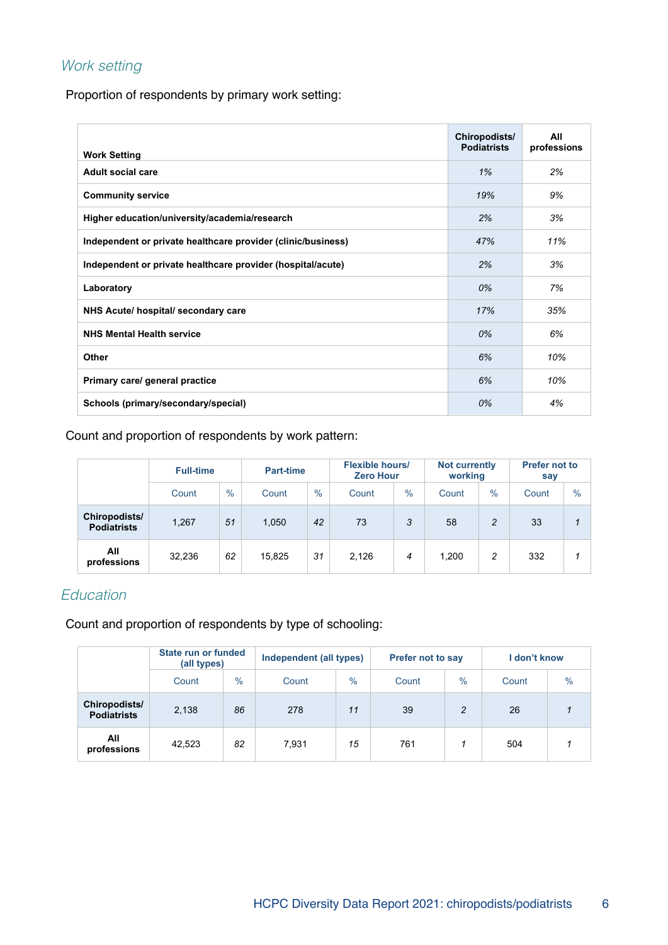# Work setting

Proportion of respondents by primary work setting:

| <b>Work Setting</b>                                          | Chiropodists/<br><b>Podiatrists</b> | All<br>professions |
|--------------------------------------------------------------|-------------------------------------|--------------------|
| <b>Adult social care</b>                                     | 1%                                  | 2%                 |
| <b>Community service</b>                                     | 19%                                 | 9%                 |
| Higher education/university/academia/research                | 2%                                  | 3%                 |
| Independent or private healthcare provider (clinic/business) | 47%                                 | 11%                |
| Independent or private healthcare provider (hospital/acute)  | 2%                                  | 3%                 |
| Laboratory                                                   | 0%                                  | 7%                 |
| NHS Acute/ hospital/ secondary care                          | 17%                                 | 35%                |
| <b>NHS Mental Health service</b>                             | 0%                                  | 6%                 |
| <b>Other</b>                                                 | 6%                                  | 10%                |
| Primary care/ general practice                               | 6%                                  | 10%                |
| Schools (primary/secondary/special)                          | 0%                                  | 4%                 |

Count and proportion of respondents by work pattern:

|                                     | <b>Full-time</b> |      | <b>Part-time</b> |      | <b>Flexible hours/</b><br><b>Zero Hour</b> |      | <b>Not currently</b><br>working |               | <b>Prefer not to</b><br>say |               |
|-------------------------------------|------------------|------|------------------|------|--------------------------------------------|------|---------------------------------|---------------|-----------------------------|---------------|
|                                     | Count            | $\%$ | Count            | $\%$ | Count                                      | $\%$ | Count                           | $\frac{0}{0}$ | Count                       | $\frac{0}{0}$ |
| Chiropodists/<br><b>Podiatrists</b> | 1,267            | 51   | 1,050            | 42   | 73                                         | 3    | 58                              | 2             | 33                          |               |
| All<br>professions                  | 32,236           | 62   | 15.825           | 31   | 2.126                                      | 4    | 1.200                           | 2             | 332                         |               |

#### **Education**

Count and proportion of respondents by type of schooling:

|                                     | State run or funded<br>(all types) |               | Independent (all types) |      | <b>Prefer not to say</b> |                | I don't know |               |  |
|-------------------------------------|------------------------------------|---------------|-------------------------|------|--------------------------|----------------|--------------|---------------|--|
|                                     | Count                              | $\frac{0}{0}$ | Count                   | $\%$ | Count                    | $\%$           | Count        | $\frac{0}{0}$ |  |
| Chiropodists/<br><b>Podiatrists</b> | 2,138                              | 86            | 278                     | 11   | 39                       | $\overline{c}$ | 26           |               |  |
| All<br>professions                  | 42.523                             | 82            | 7.931                   | 15   | 761                      |                | 504          |               |  |